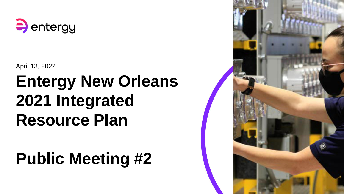

April 13, 2022

# **Entergy New Orleans 2021 Integrated Resource Plan**

# **Public Meeting #2**

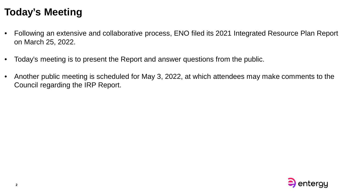### **Today's Meeting**

- Following an extensive and collaborative process, ENO filed its 2021 Integrated Resource Plan Report on March 25, 2022.
- Today's meeting is to present the Report and answer questions from the public.
- Another public meeting is scheduled for May 3, 2022, at which attendees may make comments to the Council regarding the IRP Report.

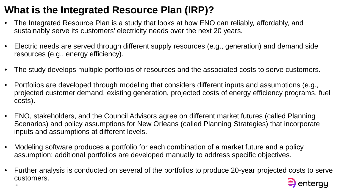# **What is the Integrated Resource Plan (IRP)?**

- The Integrated Resource Plan is a study that looks at how ENO can reliably, affordably, and sustainably serve its customers' electricity needs over the next 20 years.
- Electric needs are served through different supply resources (e.g., generation) and demand side resources (e.g., energy efficiency).
- The study develops multiple portfolios of resources and the associated costs to serve customers.
- Portfolios are developed through modeling that considers different inputs and assumptions (e.g., projected customer demand, existing generation, projected costs of energy efficiency programs, fuel costs).
- ENO, stakeholders, and the Council Advisors agree on different market futures (called Planning Scenarios) and policy assumptions for New Orleans (called Planning Strategies) that incorporate inputs and assumptions at different levels.
- Modeling software produces a portfolio for each combination of a market future and a policy assumption; additional portfolios are developed manually to address specific objectives.
- Further analysis is conducted on several of the portfolios to produce 20-year projected costs to serve customers.

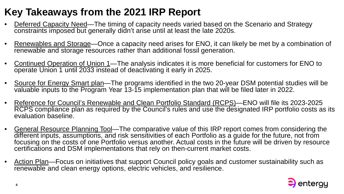# **Key Takeaways from the 2021 IRP Report**

- Deferred Capacity Need—The timing of capacity needs varied based on the Scenario and Strategy constraints imposed but generally didn't arise until at least the late 2020s.
- Renewables and Storage—Once a capacity need arises for ENO, it can likely be met by a combination of renewable and storage resources rather than additional fossil generation.
- Continued Operation of Union 1—The analysis indicates it is more beneficial for customers for ENO to operate Union 1 until 2033 instead of deactivating it early in 2025.
- Source for Energy Smart plan—The programs identified in the two 20-year DSM potential studies will be valuable inputs to the Program Year 13-15 implementation plan that will be filed later in 2022.
- Reference for Council's Renewable and Clean Portfolio Standard (RCPS)—ENO will file its 2023-2025 RCPS compliance plan as required by the Council's rules and use the designated IRP portfolio costs as its evaluation baseline.
- General Resource Planning Tool—The comparative value of this IRP report comes from considering the different inputs, assumptions, and risk sensitivities of each Portfolio as a guide for the future, not from focusing on the costs of one Portfolio versus another. Actual costs in the future will be driven by resource certifications and DSM implementations that rely on then-current market costs.
- Action Plan—Focus on initiatives that support Council policy goals and customer sustainability such as renewable and clean energy options, electric vehicles, and resilience.

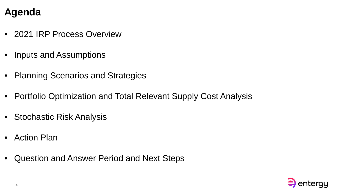### **Agenda**

- 2021 IRP Process Overview
- Inputs and Assumptions
- Planning Scenarios and Strategies
- Portfolio Optimization and Total Relevant Supply Cost Analysis
- Stochastic Risk Analysis
- Action Plan
- Question and Answer Period and Next Steps

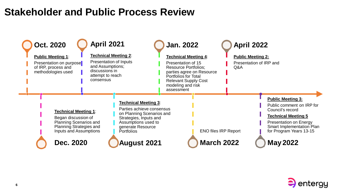### **Stakeholder and Public Process Review**



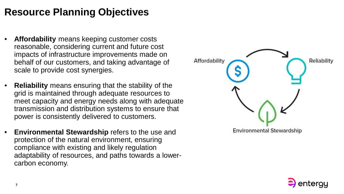### **Resource Planning Objectives**

- **Affordability** means keeping customer costs reasonable, considering current and future cost impacts of infrastructure improvements made on behalf of our customers, and taking advantage of scale to provide cost synergies.
- **Reliability** means ensuring that the stability of the grid is maintained through adequate resources to meet capacity and energy needs along with adequate transmission and distribution systems to ensure that power is consistently delivered to customers.
- **Environmental Stewardship** refers to the use and protection of the natural environment, ensuring compliance with existing and likely regulation adaptability of resources, and paths towards a lowercarbon economy.



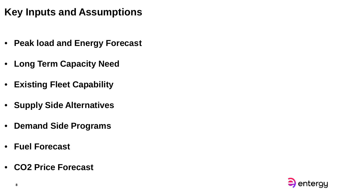### **Key Inputs and Assumptions**

- **Peak load and Energy Forecast**
- **Long Term Capacity Need**
- **Existing Fleet Capability**
- **Supply Side Alternatives**
- **Demand Side Programs**
- **Fuel Forecast**
- **CO2 Price Forecast**

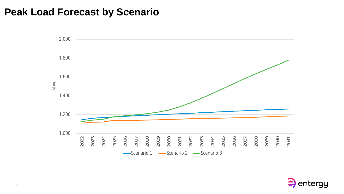#### **Peak Load Forecast by Scenario**



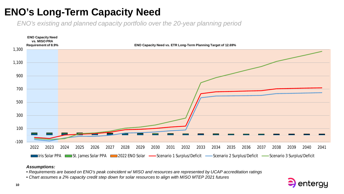### **ENO's Long-Term Capacity Need**

*ENO's existing and planned capacity portfolio over the 20-year planning period*



#### *Assumptions:*

- *Requirements are based on ENO's peak coincident w/ MISO and resources are represented by UCAP accreditation ratings*
- *Chart assumes a 2% capacity credit step down for solar resources to align with MISO MTEP 2021 futures*

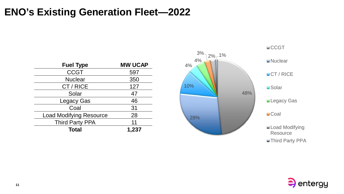#### **ENO's Existing Generation Fleet—2022**

| <b>Fuel Type</b>               | <b>MW UCAP</b> |
|--------------------------------|----------------|
| <b>CCGT</b>                    | 597            |
| <b>Nuclear</b>                 | 350            |
| CT/RICE                        | 127            |
| Solar                          | 47             |
| <b>Legacy Gas</b>              | 46             |
| Coal                           | 31             |
| <b>Load Modifying Resource</b> | 28             |
| <b>Third Party PPA</b>         | 11             |
| Total                          | 1,237          |





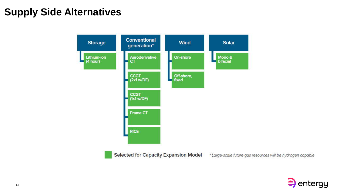### **Supply Side Alternatives**



**Selected for Capacity Expansion Model** \* Large-scale future gas resources will be hydrogen capable

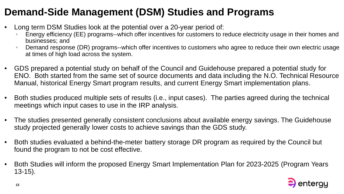# **Demand-Side Management (DSM) Studies and Programs**

- Long term DSM Studies look at the potential over a 20-year period of:
	- Energy efficiency (EE) programs--which offer incentives for customers to reduce electricity usage in their homes and businesses; and
	- Demand response (DR) programs--which offer incentives to customers who agree to reduce their own electric usage at times of high load across the system.
- GDS prepared a potential study on behalf of the Council and Guidehouse prepared a potential study for ENO. Both started from the same set of source documents and data including the N.O. Technical Resource Manual, historical Energy Smart program results, and current Energy Smart implementation plans.
- Both studies produced multiple sets of results (i.e., input cases). The parties agreed during the technical meetings which input cases to use in the IRP analysis.
- The studies presented generally consistent conclusions about available energy savings. The Guidehouse study projected generally lower costs to achieve savings than the GDS study.
- Both studies evaluated a behind-the-meter battery storage DR program as required by the Council but found the program to not be cost effective.
- Both Studies will inform the proposed Energy Smart Implementation Plan for 2023-2025 (Program Years 13-15).

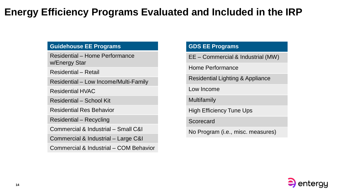#### **Energy Efficiency Programs Evaluated and Included in the IRP**

#### **Guidehouse EE Programs**

Residential – Home Performance w/Energy Star

Residential – Retail

Residential – Low Income/Multi-Family

Residential HVAC

Residential – School Kit

Residential Res Behavior

Residential – Recycling

Commercial & Industrial – Small C&I

Commercial & Industrial – Large C&I

Commercial & Industrial – COM Behavior

#### **GDS EE Programs**

EE – Commercial & Industrial (MW)

Home Performance

Residential Lighting & Appliance

Low Income

Multifamily

High Efficiency Tune Ups

Scorecard

No Program (i.e., misc. measures)

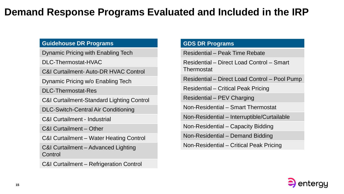#### **Demand Response Programs Evaluated and Included in the IRP**

#### **Guidehouse DR Programs**

Dynamic Pricing with Enabling Tech

DLC-Thermostat-HVAC

C&I Curtailment- Auto-DR HVAC Control

Dynamic Pricing w/o Enabling Tech

DLC-Thermostat-Res

C&I Curtailment-Standard Lighting Control

DLC-Switch-Central Air Conditioning

C&I Curtailment - Industrial

C&I Curtailment – Other

C&I Curtailment – Water Heating Control

C&I Curtailment – Advanced Lighting **Control** 

C&I Curtailment – Refrigeration Control

#### **GDS DR Programs**

Residential – Peak Time Rebate

Residential – Direct Load Control – Smart Thermostat

Residential – Direct Load Control – Pool Pump

Residential – Critical Peak Pricing

Residential – PEV Charging

Non-Residential – Smart Thermostat

Non-Residential – Interruptible/Curtailable

Non-Residential – Capacity Bidding

Non-Residential – Demand Bidding

Non-Residential – Critical Peak Pricing

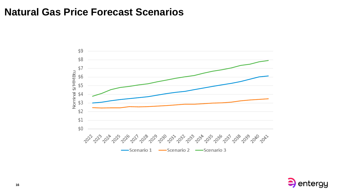#### **Natural Gas Price Forecast Scenarios**



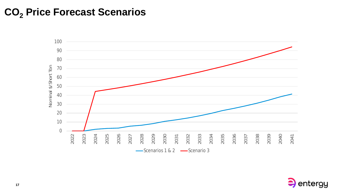### **CO<sup>2</sup> Price Forecast Scenarios**



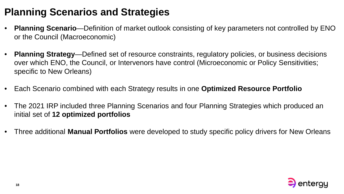### **Planning Scenarios and Strategies**

- **Planning Scenario**—Definition of market outlook consisting of key parameters not controlled by ENO or the Council (Macroeconomic)
- **Planning Strategy**—Defined set of resource constraints, regulatory policies, or business decisions over which ENO, the Council, or Intervenors have control (Microeconomic or Policy Sensitivities; specific to New Orleans)
- Each Scenario combined with each Strategy results in one **Optimized Resource Portfolio**
- The 2021 IRP included three Planning Scenarios and four Planning Strategies which produced an initial set of **12 optimized portfolios**
- Three additional **Manual Portfolios** were developed to study specific policy drivers for New Orleans

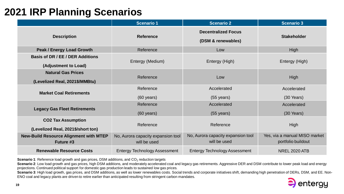# **2021 IRP Planning Scenarios**

|                                                                 | <b>Scenario 1</b>                                  | <b>Scenario 2</b>                                  | <b>Scenario 3</b>                                   |
|-----------------------------------------------------------------|----------------------------------------------------|----------------------------------------------------|-----------------------------------------------------|
| <b>Description</b>                                              | <b>Reference</b>                                   | <b>Decentralized Focus</b><br>(DSM & renewables)   | <b>Stakeholder</b>                                  |
| <b>Peak / Energy Load Growth</b>                                | Reference                                          | Low                                                | High                                                |
| <b>Basis of DR / EE / DER Additions</b><br>(Adjustment to Load) | Entergy (Medium)                                   | Entergy (High)                                     | Entergy (High)                                      |
| <b>Natural Gas Prices</b><br>(Levelized Real, 2021\$/MMBtu)     | Reference                                          | Low                                                | High                                                |
| <b>Market Coal Retirements</b>                                  | Reference<br>$(60 \text{ years})$                  | Accelerated<br>$(55 \text{ years})$                | Accelerated<br>$(30$ Years)                         |
| <b>Legacy Gas Fleet Retirements</b>                             | Reference<br>$(60 \text{ years})$                  | Accelerated<br>$(55 \text{ years})$                | Accelerated<br>$(30$ Years)                         |
| <b>CO2 Tax Assumption</b><br>(Levelized Real, 2021\$/short ton) | Reference                                          | Reference                                          | High                                                |
| <b>New-Build Resource Alignment with MTEP</b><br>Future #3      | No, Aurora capacity expansion tool<br>will be used | No, Aurora capacity expansion tool<br>will be used | Yes, via a manual MISO market<br>portfolio buildout |
| <b>Renewable Resource Costs</b>                                 | <b>Entergy Technology Assessment</b>               | <b>Entergy Technology Assessment</b>               | <b>NREL 2020 ATB</b>                                |

**Scenario 1**: Reference load growth and gas prices, DSM additions, and CO<sub>2</sub> reduction targets

Scenario 2: Low load growth and gas prices, high DSM additions, and moderately accelerated coal and legacy gas retirements. Aggressive DER and DSM contribute to lower peak load and energy projections. Continued political support for domestic gas production leads to sustained low gas prices.

Scenario 3: High load growth, gas prices, and DSM additions, as well as lower renewables costs. Social trends and corporate initiatives shift, demanding high penetration of DERs, DSM, and EE. Non-ENO coal and legacy plants are driven to retire earlier than anticipated resulting from stringent carbon mandates.

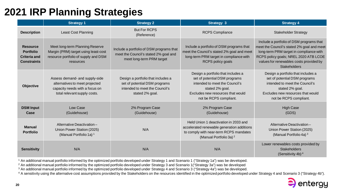# **2021 IRP Planning Strategies**

|                                                                                  | <b>Strategy 1</b>                                                                                                                  | <b>Strategy 2</b>                                                                                                        | <b>Strategy 3</b>                                                                                                                                                                       | <b>Strategy 4</b>                                                                                                                                                                                                                            |
|----------------------------------------------------------------------------------|------------------------------------------------------------------------------------------------------------------------------------|--------------------------------------------------------------------------------------------------------------------------|-----------------------------------------------------------------------------------------------------------------------------------------------------------------------------------------|----------------------------------------------------------------------------------------------------------------------------------------------------------------------------------------------------------------------------------------------|
| <b>Description</b>                                                               | <b>Least Cost Planning</b>                                                                                                         | <b>But For RCPS</b><br>(Reference)                                                                                       | <b>RCPS Compliance</b>                                                                                                                                                                  | <b>Stakeholder Strategy</b>                                                                                                                                                                                                                  |
| <b>Resource</b><br><b>Portfolio</b><br><b>Criteria and</b><br><b>Constraints</b> | Meet long-term Planning Reserve<br>Margin (PRM) target using least-cost<br>resource portfolio of supply and DSM<br>resources       | Include a portfolio of DSM programs that<br>meet the Council's stated 2% goal and<br>meet long-term PRM target           | Include a portfolio of DSM programs that<br>meet the Council's stated 2% goal and meet<br>long-term PRM target in compliance with<br>RCPS policy goals                                  | Include a portfolio of DSM programs that<br>meet the Council's stated 2% goal and meet<br>long-term PRM target in compliance with<br>RCPS policy goals; NREL 2020 ATB LCOE<br>values for renewables costs provided by<br><b>Stakeholders</b> |
| Objective                                                                        | Assess demand- and supply-side<br>alternatives to meet projected<br>capacity needs with a focus on<br>total relevant supply costs. | Design a portfolio that includes a<br>set of potential DSM programs<br>intended to meet the Council's<br>stated 2% goal. | Design a portfolio that includes a<br>set of potential DSM programs<br>intended to meet the Council's<br>stated 2% goal.<br>Excludes new resources that would<br>not be RCPS compliant. | Design a portfolio that includes a<br>set of potential DSM programs<br>intended to meet the Council's<br>stated 2% goal.<br>Excludes new resources that would<br>not be RCPS compliant.                                                      |
| <b>DSM Input</b><br>Case                                                         | Low Case<br>(Guidehouse)                                                                                                           | 2% Program Case<br>(Guidehouse)                                                                                          | 2% Program Case<br>(Guidehouse)                                                                                                                                                         | <b>High Case</b><br>(GDS)                                                                                                                                                                                                                    |
| <b>Manual</b><br><b>Portfolio</b>                                                | Alternative Deactivation-<br>Union Power Station (2025)<br>(Manual Portfolio 1a) 1                                                 | N/A                                                                                                                      | Held Union 1 deactivation in 2033 and<br>accelerated renewable generation additions<br>to comply with near-term RCPS mandates<br>(Manual Portfolio 3a) <sup>2</sup>                     | Alternative Deactivation-<br>Union Power Station (2025)<br>(Manual Portfolio 4a) $3$                                                                                                                                                         |
| <b>Sensitivity</b>                                                               | N/A                                                                                                                                | N/A                                                                                                                      | N/A                                                                                                                                                                                     | Lower renewables costs provided by<br><b>Stakeholders</b><br>(Sensitivity 4b) <sup>4</sup>                                                                                                                                                   |

<sup>1</sup> An additional manual portfolio informed by the optimized portfolio developed under Strategy 1 and Scenario 1 ("Strategy 1a") was be developed.

<sup>2</sup> An additional manual portfolio informed by the optimized portfolio developed under Strategy 3 and Scenario 1("Strategy 3a") was be developed

<sup>3</sup> An additional manual portfolio informed by the optimized portfolio developed under Strategy 4 and Scenario 3 ("Strategy 4a") was be developed.

<sup>4</sup> A sensitivity using the alternative cost assumptions provided by the Stakeholders on the resources identified in the optimized portfolio developed under Strategy 4 and Scenario 3 ("Strategy 4b").

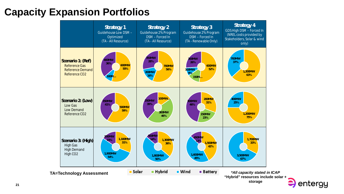# **Capacity Expansion Portfolios**



entergy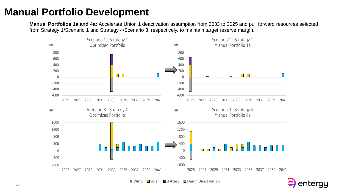### **Manual Portfolio Development**

**Manual Portfolios 1a and 4a:** Accelerate Union 1 deactivation assumption from 2033 to 2025 and pull forward resources selected from Strategy 1/Scenario 1 and Strategy 4/Scenario 3, respectively, to maintain target reserve margin.





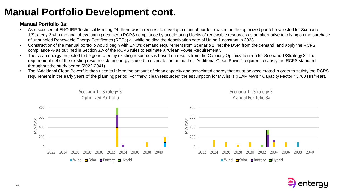# **Manual Portfolio Development cont.**

#### **Manual Portfolio 3a:**

- As discussed at ENO IRP Technical Meeting #4, there was a request to develop a manual portfolio based on the optimized portfolio selected for Scenario 1/Strategy 3 with the goal of evaluating near-term RCPS compliance by accelerating blocks of renewable resources as an alternative to relying on the purchase of unbundled Renewable Energy Certificates (RECs) all while holding the deactivation date of Union 1 constant in 2033.
- Construction of the manual portfolio would begin with ENO's demand requirement from Scenario 1, net the DSM from the demand, and apply the RCPS compliance % as outlined in Section 3.A of the RCPS rules to estimate a "Clean Power Requirement".
- The clean energy projected to be generated by existing resources is based on results from the Capacity Optimization run for Scenario 1/Strategy 3. The requirement net of the existing resource clean energy is used to estimate the amount of "Additional Clean Power" required to satisfy the RCPS standard throughout the study period (2022-2041).
- The "Additional Clean Power" is then used to inform the amount of clean capacity and associated energy that must be accelerated in order to satisfy the RCPS requirement in the early years of the planning period. For "new, clean resources" the assumption for MWhs is (ICAP MWs \* Capacity Factor \* 8760 Hrs/Year).



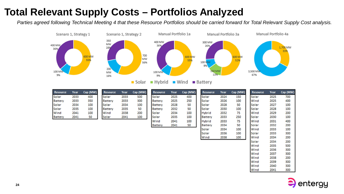# **Total Relevant Supply Costs – Portfolios Analyzed**

*Parties agreed following Technical Meeting 4 that these Resource Portfolios should be carried forward for Total Relevant Supply Cost analysis.*



 $\blacksquare$  Hybrid  $\blacksquare$  Wind  $\blacksquare$  Battery  $\blacksquare$  Solar

| <b>Resource</b> | Year | Cap (MW) | <b>Resource</b> | Year | Cap (MW) | <b>Resource</b> | Year | Cap (MW) | <b>Resource</b> | Year | Cap (MW) |
|-----------------|------|----------|-----------------|------|----------|-----------------|------|----------|-----------------|------|----------|
| Solar           | 2033 | 400      | Solar           | 2033 | 500      | Solar           | 2025 | 400      | Solar           | 2024 | 150      |
| <b>Battery</b>  | 2033 | 350      | <b>Battery</b>  | 2033 | 300      | Battery         | 2025 | 250      | Solar           | 2026 | 100      |
| Solar           | 2034 | 100      | Solar           | 2034 | 100      | Battery         | 2028 | 50       | Solar           | 2028 | 50       |
| Solar           | 2035 | 100      | Battery         | 2035 | 50       | Battery         | 2032 | 50       | Solar           | 2030 | 100      |
| Wind            | 2041 | 100      | Wind            | 2038 | 200      | Solar           | 2034 | 100      | <b>Hybrid</b>   | 2032 | 75       |
| <b>Battery</b>  | 2041 | 50       | Solar           | 2041 | 100      | Solar           | 2035 | 100      | <b>Battery</b>  | 2033 | 250      |
|                 |      |          |                 |      |          | Wind            | 2041 | 100      | <b>Hybrid</b>   | 2033 | 75       |
|                 |      |          |                 |      |          | Battery         | 2041 | 50       | Battery         | 2034 | 50       |

| <b>Resource</b> | Year | Cap (MW) |
|-----------------|------|----------|
| Solar           | 2025 | 700      |
| Wind            | 2025 | 400      |
| Solar           | 2027 | 100      |
| Solar           | 2028 | 100      |
| Wind            | 2029 | 200      |
| Solar           | 2030 | 100      |
| Wind            | 2031 | 400      |
| Solar           | 2032 | 200      |
| Wind            | 2033 | 100      |
| Solar           | 2033 | 300      |
| Wind            | 2034 | 200      |
| Solar           | 2034 | 200      |
| Wind            | 2035 | 500      |
| Wind            | 2036 | 300      |
| Wind            | 2037 | 300      |
| Wind            | 2038 | 200      |
| Wind            | 2039 | 300      |
| Wind            | 2040 | 300      |
| Wind            | 2041 | 300      |

100

100

100

2034

2036

2038

Solar

Solar

Wind

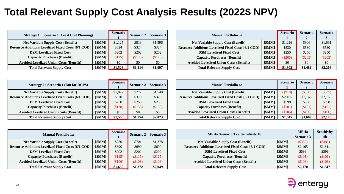### **Total Relevant Supply Cost Analysis Results (2022\$ NPV)**

| <b>Strategy 1: Scenario 1 (Least Cost Planning)</b>       |        | <b>Scenario</b> | <b>Scenario 2</b> | <b>Scenario 3</b> |
|-----------------------------------------------------------|--------|-----------------|-------------------|-------------------|
| <b>Net Variable Supply Cost (Benefit)</b>                 | [\$MM] | \$1,125         | \$813             | \$1,596           |
| <b>Resource Additions Levelized Fixed Costs [6/1 COD]</b> | [\$MM] | \$324           | \$324             | \$324             |
| <b>DSM Levelized Fixed Cost</b>                           | [\$MM] | \$202           | \$202             | \$202             |
| <b>Capacity Purchases (Benefit)</b>                       | [\$MM] | (\$125)         | (\$125)           | (\$125)           |
| <b>Avoided Levelized Union Costs (Benefit)</b>            | [\$MM] | \$0             | \$0               | \$0               |
| <b>Total Relevant Supply Cost</b>                         | [\$MM] | \$1,526         | \$1,214           | \$1,997           |

| <b>Manual Portfolio 3a</b>                                |        | <b>Scenario</b> | <b>Scenario</b> | <b>Scenario</b> |
|-----------------------------------------------------------|--------|-----------------|-----------------|-----------------|
|                                                           |        |                 | $\mathbf{2}$    | 3               |
| <b>Net Variable Supply Cost (Benefit)</b>                 | [\$MM] | \$1,226         | \$906           | \$1,691         |
| <b>Resource Additions Levelized Fixed Costs [6/1 COD]</b> | [\$MM] | \$530           | \$530           | \$530           |
| <b>DSM Levelized Fixed Cost</b>                           | [\$MM] | \$250           | \$250           | \$250           |
| <b>Capacity Purchases (Benefit)</b>                       | [\$MM] | $(\$205)$       | $(\$205)$       | $(\$205)$       |
| <b>Avoided Levelized Union Costs (Benefit)</b>            | [\$MM] | \$0             | \$0             | \$0             |
| <b>Total Relevant Supply Cost</b>                         | [\$MM] | \$1,802         | \$1,481         | \$2,266         |

| <b>Strategy 2: Scenario 1 (But for RCPS)</b>              |        | <b>Scenario</b> | <b>Scenario 2</b> | Scenario 3 |
|-----------------------------------------------------------|--------|-----------------|-------------------|------------|
| <b>Net Variable Supply Cost (Benefit)</b>                 | [\$MM] | \$1,077         | \$772             | \$1,540    |
| <b>Resource Additions Levelized Fixed Costs [6/1 COD]</b> | [\$MM] | \$370           | \$370             | \$370      |
| <b>DSM Levelized Fixed Cost</b>                           | [\$MM] | \$250           | \$250             | \$250      |
| <b>Capacity Purchases (Benefit)</b>                       | [\$MM] | (\$138)         | (\$138)           | (\$138)    |
| <b>Avoided Levelized Union Costs (Benefit)</b>            | [\$MM] | \$0             | \$0               | \$0        |
| <b>Total Relevant Supply Cost</b>                         | [\$MM] | \$1,560         | \$1,254           | \$2,023    |

| <b>Manual Portfolio 4a</b>                                |        | <b>Scenario</b> | <b>Scenario</b> | <b>Scenario</b> |
|-----------------------------------------------------------|--------|-----------------|-----------------|-----------------|
|                                                           |        |                 | $\mathbf{2}$    | 3               |
| <b>Net Variable Supply Cost (Benefit)</b>                 | [\$MM] | $(\$910)$       | (\$888)         | (\$385)         |
| <b>Resource Additions Levelized Fixed Costs [6/1 COD]</b> | [\$MM] | \$2,165         | \$2,165         | \$2,165         |
| <b>DSM Levelized Fixed Cost</b>                           | [\$MM] | \$598           | \$598           | \$598           |
| <b>Capacity Purchases (Benefit)</b>                       | [\$MM] | (\$101)         | (\$101)         | (\$101)         |
| <b>Avoided Levelized Union Costs (Benefit)</b>            | [\$MM] | \$106           | (\$106)         | \$106           |
| <b>Total Relevant Supply Cost</b>                         | [\$MM] | \$1,645         | \$1,667         | \$2,170         |

| <b>Manual Portfolio 1a</b>                                |        | <b>Scenario</b> | <b>Scenario 2</b> | <b>Scenario 3</b> |
|-----------------------------------------------------------|--------|-----------------|-------------------|-------------------|
| <b>Net Variable Supply Cost (Benefit)</b>                 | [\$MM] | \$980           | \$701             | \$1,378           |
| <b>Resource Additions Levelized Fixed Costs [6/1 COD]</b> | [\$MM] | \$690           | \$690             | \$690             |
| <b>DSM Levelized Fixed Cost</b>                           | [\$MM] | \$202           | \$202             | \$202             |
| <b>Capacity Purchases (Benefit)</b>                       | [\$MM] | \$115)          | (\$115)           | \$115)            |
| <b>Avoided Levelized Union Costs (Benefit)</b>            | [\$MM] | \$106           | \$106)            | \$106             |
| <b>Total Relevant Supply Cost</b>                         | [\$MM] | \$1,650         | \$1,372           | \$2,049           |

| MP 4a Scenario 3 vs. Sensitivity 4b                       |                   | MP 4a          | <b>Sensitivity</b> |
|-----------------------------------------------------------|-------------------|----------------|--------------------|
|                                                           | <b>Scenario 3</b> | 4 <sub>b</sub> |                    |
| <b>Net Variable Supply Cost (Benefit)</b>                 | [\$MM]            | (\$385)        | (\$385)            |
| <b>Resource Additions Levelized Fixed Costs [6/1 COD]</b> | [\$MM]            | \$2,165        | \$1,841            |
| <b>DSM Levelized Fixed Cost</b>                           | [\$MM]            | \$598          | \$598              |
| <b>Capacity Purchases (Benefit)</b>                       | [\$MM]            | \$101)         | \$101)             |
| <b>Avoided Levelized Union Costs (Benefit)</b>            | [\$MM]            | (\$106)        | (\$106)            |
| <b>Total Relevant Supply Cost</b>                         | [\$MM]            | \$2,170        | \$1,847            |

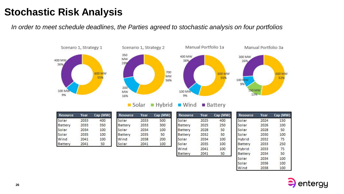### **Stochastic Risk Analysis**

*In order to meet schedule deadlines, the Parties agreed to stochastic analysis on four portfolios*







Solar  $H$ ybrid

 $\blacksquare$  Wind  $\blacksquare$  Battery

| Resource | Year | Cap (MW) | <b>Resour</b> |
|----------|------|----------|---------------|
| Solar    | 2033 | 400      | Solar         |
| Battery  | 2033 | 350      | Battery       |
| Solar    | 2034 | 100      | Solar         |
| Solar    | 2035 | 100      | Battery       |
| Wind     | 2041 | 100      | Wind          |
| Battery  | 2041 | 50       | Solar         |

| <b>Resource</b> | Year | Cap (MW) |
|-----------------|------|----------|
| Solar           | 2033 | 500      |
| <b>Battery</b>  | 2033 | 300      |
| Solar           | 2034 | 100      |
| Battery         | 2035 | 50       |
| Wind            | 2038 | 200      |
| Solar           | 2041 | 100      |

| <b>Resource</b> | Year | Cap (MW) | Re         |
|-----------------|------|----------|------------|
| Solar           | 2025 | 400      | Sol        |
| Battery         | 2025 | 250      | Sol        |
| Battery         | 2028 | 50       | Sol        |
| Battery         | 2032 | 50       | Sol        |
| Solar           | 2034 | 100      | <b>Hyt</b> |
| Solar           | 2035 | 100      | Bat        |
| Wind            | 2041 | 100      | Hyt        |
| Battery         | 2041 | 50       | Bat        |
|                 |      |          | Sol        |
|                 |      |          |            |

| <b>Resource</b> | Year | Cap (MW) |
|-----------------|------|----------|
| Solar           | 2024 | 150      |
| Solar           | 2026 | 100      |
| Solar           | 2028 | 50       |
| Solar           | 2030 | 100      |
| Hybrid          | 2032 | 75       |
| Battery         | 2033 | 250      |
| Hybrid          | 2033 | 75       |
| Battery         | 2034 | 50       |
| Solar           | 2034 | 100      |
| Solar           | 2036 | 100      |
| Wind            | 2038 | 100      |

**600 MW** 

52%

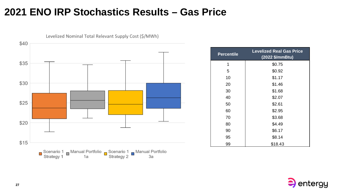#### **2021 ENO IRP Stochastics Results – Gas Price**



Levelized Nominal Total Relevant Supply Cost (\$/MWh)

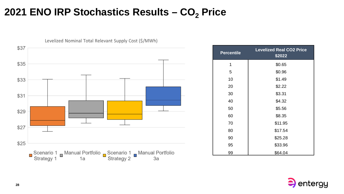### **2021 ENO IRP Stochastics Results – CO<sup>2</sup> Price**



| <b>Percentile</b> | <b>Levelized Real CO2 Price</b><br>\$2022 |
|-------------------|-------------------------------------------|
| 1                 | \$0.65                                    |
| 5                 | \$0.96                                    |
| 10                | \$1.49                                    |
| 20                | \$2.22                                    |
| 30                | \$3.31                                    |
| 40                | \$4.32                                    |
| 50                | \$5.56                                    |
| 60                | \$8.35                                    |
| 70                | \$11.95                                   |
| 80                | \$17.54                                   |
| 90                | \$25.28                                   |
| 95                | \$33.96                                   |
| 99                | \$64.04                                   |

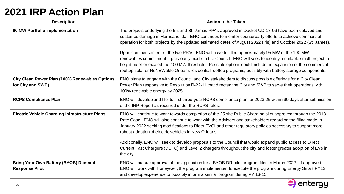### **2021 IRP Action Plan**

| <b>Description</b>                                                         | <b>Action to be Taken</b>                                                                                                                                                                                                                                                                                                                                                                                                                                                                                                                                                                                                                                                                                                                                                       |
|----------------------------------------------------------------------------|---------------------------------------------------------------------------------------------------------------------------------------------------------------------------------------------------------------------------------------------------------------------------------------------------------------------------------------------------------------------------------------------------------------------------------------------------------------------------------------------------------------------------------------------------------------------------------------------------------------------------------------------------------------------------------------------------------------------------------------------------------------------------------|
| 90 MW Portfolio Implementation                                             | The projects underlying the Iris and St. James PPAs approved in Docket UD-18-06 have been delayed and<br>sustained damage in Hurricane Ida. ENO continues to monitor counterparty efforts to achieve commercial<br>operation for both projects by the updated estimated dates of August 2022 (Iris) and October 2022 (St. James).<br>Upon commencement of the two PPAs, ENO will have fulfilled approximately 95 MW of the 100 MW<br>renewables commitment it previously made to the Council. ENO will seek to identify a suitable small project to<br>help it meet or exceed the 100 MW threshold. Possible options could include an expansion of the commercial<br>rooftop solar or ReNEWable Orleans residential rooftop programs, possibly with battery storage components. |
| <b>City Clean Power Plan (100% Renewables Options</b><br>for City and SWB) | ENO plans to engage with the Council and City stakeholders to discuss possible offerings for a City Clean<br>Power Plan responsive to Resolution R-22-11 that directed the City and SWB to serve their operations with<br>100% renewable energy by 2025.                                                                                                                                                                                                                                                                                                                                                                                                                                                                                                                        |
| <b>RCPS Compliance Plan</b>                                                | ENO will develop and file its first three-year RCPS compliance plan for 2023-25 within 90 days after submission<br>of the IRP Report as required under the RCPS rules.                                                                                                                                                                                                                                                                                                                                                                                                                                                                                                                                                                                                          |
| <b>Electric Vehicle Charging Infrastructure Plans</b>                      | ENO will continue to work towards completion of the 25 site Public Charging pilot approved through the 2018<br>Rate Case. ENO will also continue to work with the Advisors and stakeholders regarding the filing made in<br>January 2022 seeking modifications to Rider EVCI and other regulatory policies necessary to support more<br>robust adoption of electric vehicles in New Orleans.<br>Additionally, ENO will seek to develop proposals to the Council that would expand public access to Direct<br>Current Fast Chargers (DCFC) and Level 2 chargers throughout the city and foster greater adoption of EVs in<br>the city.                                                                                                                                           |
| <b>Bring Your Own Battery (BYOB) Demand</b><br><b>Response Pilot</b>       | ENO will pursue approval of the application for a BYOB DR pilot program filed in March 2022. If approved,<br>ENO will work with Honeywell, the program implementer, to execute the program during Energy Smart PY12<br>and develop experience to possibly inform a similar program during PY 13-15.                                                                                                                                                                                                                                                                                                                                                                                                                                                                             |

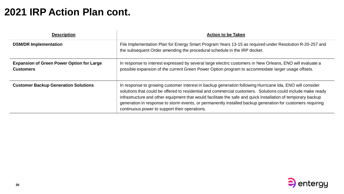#### **2021 IRP Action Plan cont.**

| <b>Description</b>                                                   | <b>Action to be Taken</b>                                                                                                                                                                                                                                                                                                                                                                                                                                                                              |
|----------------------------------------------------------------------|--------------------------------------------------------------------------------------------------------------------------------------------------------------------------------------------------------------------------------------------------------------------------------------------------------------------------------------------------------------------------------------------------------------------------------------------------------------------------------------------------------|
| <b>DSM/DR Implementation</b>                                         | File Implementation Plan for Energy Smart Program Years 13-15 as required under Resolution R-20-257 and<br>the subsequent Order amending the procedural schedule in the IRP docket.                                                                                                                                                                                                                                                                                                                    |
| <b>Expansion of Green Power Option for Large</b><br><b>Customers</b> | In response to interest expressed by several large electric customers in New Orleans, ENO will evaluate a<br>possible expansion of the current Green Power Option program to accommodate larger usage offsets.                                                                                                                                                                                                                                                                                         |
| <b>Customer Backup Generation Solutions</b>                          | In response to growing customer interest in backup generation following Hurricane Ida, ENO will consider<br>solutions that could be offered to residential and commercial customers. Solutions could include make ready<br>infrastructure and other equipment that would facilitate the safe and quick installation of temporary backup<br>generation in response to storm events, or permanently installed backup generation for customers requiring<br>continuous power to support their operations. |



 $\overline{\phantom{0}}$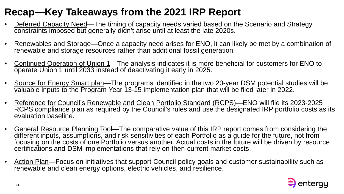# **Recap—Key Takeaways from the 2021 IRP Report**

- Deferred Capacity Need—The timing of capacity needs varied based on the Scenario and Strategy constraints imposed but generally didn't arise until at least the late 2020s.
- Renewables and Storage—Once a capacity need arises for ENO, it can likely be met by a combination of renewable and storage resources rather than additional fossil generation.
- Continued Operation of Union 1—The analysis indicates it is more beneficial for customers for ENO to operate Union 1 until 2033 instead of deactivating it early in 2025.
- Source for Energy Smart plan—The programs identified in the two 20-year DSM potential studies will be valuable inputs to the Program Year 13-15 implementation plan that will be filed later in 2022.
- Reference for Council's Renewable and Clean Portfolio Standard (RCPS)—ENO will file its 2023-2025 RCPS compliance plan as required by the Council's rules and use the designated IRP portfolio costs as its evaluation baseline.
- General Resource Planning Tool—The comparative value of this IRP report comes from considering the different inputs, assumptions, and risk sensitivities of each Portfolio as a guide for the future, not from focusing on the costs of one Portfolio versus another. Actual costs in the future will be driven by resource certifications and DSM implementations that rely on then-current market costs.
- Action Plan—Focus on initiatives that support Council policy goals and customer sustainability such as renewable and clean energy options, electric vehicles, and resilience.